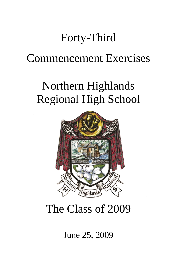## Forty-Third

### Commencement Exercises

# Northern Highlands Regional High School



## The Class of 2009

### June 25, 2009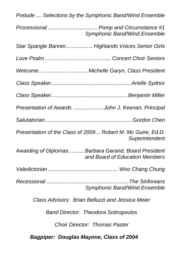| Prelude  Selections by the Symphonic Band/Wind Ensemble                                 |  |
|-----------------------------------------------------------------------------------------|--|
| Processional  Pomp and Circumstance #1<br><b>Symphonic Band/Wind Ensemble</b>           |  |
| Star Spangle Banner Highlands Voices Senior Girls                                       |  |
|                                                                                         |  |
|                                                                                         |  |
|                                                                                         |  |
|                                                                                         |  |
| Presentation of Awards John J. Keenan, Principal                                        |  |
|                                                                                         |  |
| Presentation of the Class of 2009 Robert M. Mc Guire, Ed.D.<br>Superintendent           |  |
| Awarding of Diplomas  Barbara Garand, Board President<br>and Board of Education Members |  |
|                                                                                         |  |
| The Sinfonians<br>Recessional<br>Symphonic Band/Wind Ensemble                           |  |
| Class Advisors: Brian Belluzzi and Jessica Meier                                        |  |
| <b>Band Director: Theodora Sotiropoulos</b>                                             |  |
| <b>Choir Director: Thomas Paster</b>                                                    |  |
| <b>Bagpiper: Douglas Mayone, Class of 2004</b>                                          |  |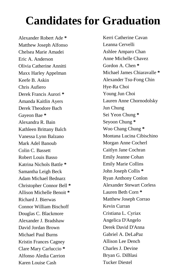## **Candidates for Graduation**

Alexander Robert Ade **\*** Matthew Joseph Alfonso Chelsea Marie Amadei Eric A. Anderson Olivia Catherine Annitti Maxx Harley Appelman Keefe B. Askin Chris Aufiero Derek Francis Aurori **\*** Amanda Kaitlin Ayers Derek Theodore Bach Gayeon Bae **\*** Alexandra R. Bain Kathleen Brittany Balch Vanessa Lynn Balzano Mark Adel Banoub Colin C. Bassett Robert Louis Basso Katrina Nichols Battle **\*** Samantha Leigh Beck Adam Michael Bednarz Christopher Connor Bell **\*** Allison Michelle Benoit **\*** Richard J. Bierwas Connor William Bischoff Douglas C. Blackmore Alexander J. Bradshaw David Jordan Brown Michael Paul Burns Kristin Frances Cagney Clare Mary Carluccio **\*** Alfonso Aledia Carrion Karen Louise Cash

Kerri Catherine Cavan Leanna Cervelli Ashlee Amparo Chan Anne Michelle Chavez Gordon A. Chen **\*** Michael James Chiaravalle **\*** Alexander Tsu-Fong Chin Hye-Ra Choi Young Jun Choi Lauren Anne Chornodolsky Jun Chung Sei Yeon Chung **\*** Seyoon Chung **\*** Woo Chang Chung **\*** Montana Lucina Cibischino Morgan Anne Cocherl Caitlyn Jane Cochran Emily Jeanne Cohan Emily Marie Collins John Joseph Collis **\*** Ryan Anthony Conlon Alexander Stewart Corless Lauren Beth Corn **\*** Matthew Joseph Corrao Kevin Curran Cristiana L. Cyriax Angelica D'Angelo Derek David D'Anna Gabriel A. DeLaPaz Allison Lee Dench Charles J. Devine Bryan G. DiBlasi Tucker Diestel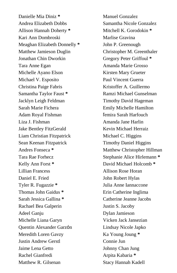Danielle Mia Diniz **\*** Andrea Elizabeth Dobbs Allison Hannah Doherty **\*** Kari Ann Dombroski Meaghan Elizabeth Donnelly **\*** Matthew Jamieson Duglin Jonathan Chin Dworkin Tara Anne Egan Michelle Ayano Elson Michael V. Esposito Christina Paige Fabris Samantha Taylor Faust **\*** Jacklyn Leigh Feldman Sarah Marie Fichera Adam Royal Fishman Liza J. Fishman Jake Bentley FitzGerald Liam Christian Fitzpatrick Sean Keenan Fitzpatrick Andres Fonseca **\*** Tara Rae Forhecz Kelly Ann Forst **\*** Lillian Francess Daniel E. Fried Tyler R. Fugazzie **\*** Thomas John Gaidus **\*** Sarah Jessica Gallina **\*** Rachael Bea Galperin Adeel Ganju Michelle Liana Garyn Quentin Alexander Garzón Meredith Loren Gavzy Justin Andrew Gerstl Jaime Lena Getto Rachel Gianfredi Matthew R. Gilsenan

Manuel Gonzalez Samantha Nicole Gonzalez Mitchell K. Gorodokin **\*** Marlise Gravina John P. Greenough Christopher M. Greenthaler Gregory Peter Griffoul **\*** Amanda Marie Grosso Kirsten Mary Grueter Paul Vincent Guerra Kristoffer A. Guillermo Ramzi Michael Gunselman Timothy David Hageman Emily Michelle Hamilton ľemira Sarah Harfouch Amanda Jane Harlin Kevin Michael Herraiz Michael C. Higgins Timothy Daniel Higgins Matthew Christopher Hillman Stephanie Alice Hirlemann **\*** David Michael Holcomb **\*** Allison Rose Horan John Robert Hylas Julia Anne Iannaccone Erin Catherine Inglima Catherine Jeanne Jacobs Justin S. Jacoby Dylan Jamieson Vicken Jack Jansezian Lindsay Nicole Japko Ka Young Joung **\*** Connie Jun Johnny Chan Jung Arpita Kabaria **\*** Stacy Hannah Kadell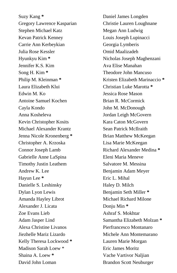Suzy Kang **\*** Gregory Lawrence Kasparian Stephen Michael Katz Kevan Patrick Kenney Carrie Ann Kerbeykian Julia Rose Kessler Hyunkyu Kim **\*** Jennifer K.S. Kim Song H. Kim **\*** Philip M. Kleinman **\*** Laura Elizabeth Klui Edwin M. Ko Antoine Samuel Kochen Cayla Kondo Anna Kosheleva Kevin Christopher Kosits Michael Alexander Krantz Jenna Nicole Kronenberg **\*** Christopher A. Krzoska Connor Joseph Lamb Gabrielle Anne LaSpina Timothy Justin Leathem Andrew K. Lee Hayun Lee **\*** Danielle S. Leshinsky Dylan Lyon Lewis Amanda Hayley Librot Alexander J. Licata Zoe Evans Lieb Adam Jasper Lind Alexa Christine Livanos Jiezhelle Mariz Lizardo Kelly Theresa Lockwood **\*** Madison Sarah Loew \* Shaina A. Loew **\*** David John Loman

Daniel James Longden Christie Lauren Loughnane Megan Ann Ludwig Louis Joseph Lupinacci Georgia Lymberis Omid Maalizadeh Nicholas Joseph Maghenzani Ava Elise Manahan Theodore John Mancuso Kristen Elizabeth Marinaccio **\*** Christian Luke Marotta **\*** Jessica Rose Mason Brian R. McCormick John M. McDonough Jordan Leigh McGovern Kara Caton McGovern Sean Patrick McIlraith Brian Matthew McKeegan Lisa Marie McKeegan Richard Alexander Medina **\*** Eleni Maria Meneve Salvatore M. Messina Benjamin Adam Meyer Eric L. Mihal Haley D. Milch Benjamin Seth Miller **\*** Michael Richard Milone Donju Min **\*** Ashraf S. Mokhtar Samantha Elizabeth Molzan **\*** Pierfrancesco Montanaro Michele Ann Montemarano Lauren Marie Morgan Eric James Moritz Vache Vartivor Naljian Brandon Scott Neuburger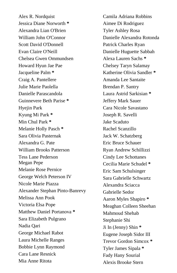Alex R. Nordquist Jessica Diane Norworth **\*** Alexandra Lian O'Brien William John O'Connor Scott David O'Donnell Evan Claire O'Neill Chelsea Gwen Ommundsen Howard Hyun Jae Pae Jacqueline Palm **\*** Craig A. Pantellere Julie Marie Paolella Danielle Parascandola Guinnevere Beth Parise **\*** Hyejin Park Kyung Mi Park **\*** Min Chul Park **\*** Melanie Holly Pasch **\*** Sara Olivia Pasternak Alexandra G. Pate William Brooks Patterson Tess Lane Pederson Megan Pepe Melanie Rose Pernice George Welch Peterson IV Nicole Marie Piazza Alexander Stephan Pinto-Banrevy Melissa Ann Pook Victoria Elsa Pope Matthew Daniel Portanova **\*** Sara Elizabeth Pulgrano Nadia Qari George Michael Rabot Laura Michelle Ranges Bobbie Lynn Raymond Cara Lane Resnick Mia Anne Ritota

Camila Adriana Robbins Aimee Di Rodriguez Tyler Ashley Rosa Danielle Alexandra Rotonda Patrick Charles Ryan Danielle Huguette Sabbah Alexa Lauren Sachs **\*** Chelsey Taryn Salamay Katherine Olivia Sandler **\*** Amanda Lee Santaite Brendan P. Santry Laura Astrid Sarkisian **\*** Jeffery Mark Sauer Cara Nicole Savastano Joseph R. Savelli Jake Scaduto Rachel Scanzillo Jack W. Schatzberg Eric Bruce Schauer Ryan Andrew Schillizzi Cindy Lee Schottanes Cecilia Marie Schudel **\*** Eric Sam Schulsinger Sara Gabrielle Schwartz Alexandra Sciacca Gabrielle Sedor Aaron Myles Shapiro **\*** Meaghan Colleen Sheehan Mahmoud Shehab Stephanie Shi Ji In (Jenny) Shin **\*** Eugene Joseph Sidor III Trevor Gordon Simcox **\*** Tyler James Sipala **\*** Fady Hany Sourial Alexis Brooke Stern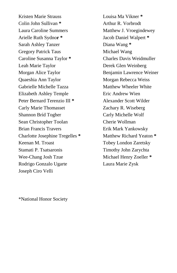Kristen Marie Strauss Colin John Sullivan **\*** Laura Caroline Summers Arielle Ruth Sydno**r \*** Sarah Ashley Tanzer Gregory Patrick Taus Caroline Susanna Taylor **\*** Leah Marie Taylor Morgan Alice Taylor Quaeshia Ann Taylor Gabrielle Michelle Tazza Elizabeth Ashley Temple Peter Bernard Terenzio III **\*** Carly Marie Thomasset Shannon Bríd Togher Sean Christopher Toolan Brian Francis Travers Charlotte Josephine Tregelles **\*** Keenan M. Troast Stamati P. Tsatsaronis Wee-Chang Josh Tzue Rodrigo Gonzalo Ugarte Joseph Ciro Velli

Louisa Ma Vikner **\*** Arthur R. Vorbrodt Matthew J. Vroegindewey Jacob Daniel Walpert **\*** Diana Wang **\*** Michael Wang Charles Davis Weidmuller Derek Glen Weinberg Benjamin Lawrence Weiner Morgan Rebecca Weiss Matthew Wheeler White Eric Andrew Wien Alexander Scott Wilder Zachary R. Wiseberg Carly Michelle Wolf Cherie Wollman Erik Mark Yankowsky Matthew Richard Yeaton **\*** Tobey London Zaretsky Timothy John Zarychta Michael Henry Zoeller **\*** Laura Marie Zysk

\*National Honor Society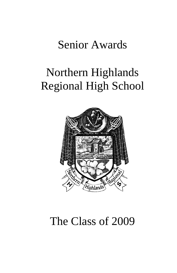### Senior Awards

## Northern Highlands Regional High School



## The Class of 2009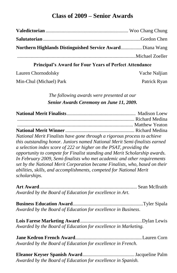#### **Class of 2009 – Senior Awards**

| Northern Highlands Distinguished Service Award Diana Wang |  |
|-----------------------------------------------------------|--|
|                                                           |  |
|                                                           |  |

#### **Principal's Award for Four Years of Perfect Attendance**

Lauren Chornodolsky............................................................... Vache Naljian

Min-Chul (Michael) Park............................................................ Patrick Ryan

#### *The following awards were presented at our Senior Awards Ceremony on June 11, 2009.*

| National Merit Finalists have gone through a rigorous process to achieve    |  |
|-----------------------------------------------------------------------------|--|
| this outstanding honor. Juniors named National Merit Semi-finalists earned  |  |
| a selection index score of 222 or higher on the PSAT, providing the         |  |
| opportunity to compete for Finalist standing and Merit Scholarship awards.  |  |
| In February 2009, Semi-finalists who met academic and other requirements    |  |
| set by the National Merit Corporation became Finalists, who, based on their |  |
| abilities, skills, and accomplishments, competed for National Merit         |  |
| scholarships.                                                               |  |

**Art Award**............................................................................... Sean McIlraith *Awarded by the Board of Education for excellence in Art.*

**Business Education Award**.........................................................Tyler Sipala *Awarded by the Board of Education for excellence in Business*.

**Lois Farese Marketing Award**..................................................Dylan Lewis *Awarded by the Board of Education for excellence in Marketing.*

**Jane Kedron French Award**......................................................Lauren Corn *Awarded by the Board of Education for excellence in French.*

**Eleanor Keyser Spanish Award**..........................................Jacqueline Palm *Awarded by the Board of Education for excellence in Spanish.*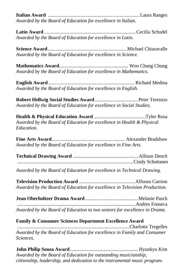**Italian Award** ..........................................................................Laura Ranges *Awarded by the Board of Education for excellence in Italian.*

**Latin Award** ..........................................................................Cecilia Schudel *Awarded by the Board of Education for excellence in Latin.*

**Science Award** ................................................................Michael Chiaravalle *Awarded by the Board of Education for excellence in Science.*

**Mathematics Award**........................................................ Woo Chang Chung *Awarded by the Board of Education for excellence in Mathematics.*

**English Award**...................................................................... Richard Medina *Awarded by the Board of Education for excellence in English.*

**Robert Hellwig Social Studies Award** ...................................Peter Terenzio *Awarded by the Board of Education for excellence in Social Studies.*

**Health & Physical Education Award** ..........................................Tyler Rosa *Awarded by the Board of Education for excellence in Health & Physical Education.*

**Fine Arts Award**........................................................... Alexander Bradshaw *Awarded by the Board of Education for excellence in Fine Arts.*

**Technical Drawing Award** .....................................................Allison Dench ..............................................................................................Cindy Schottanes

*Awarded by the Board of Education for excellence in Technical Drawing.*

**Television Production Award** ............................................. Alfonso Carrion *Awarded by the Board of Education for excellence in Television Production.*

| Awarded by the Board of Education to two seniors for excellence in Drama. |  |
|---------------------------------------------------------------------------|--|

#### **Family & Consumer Sciences Department Excellence Award**

...........................................................................................Charlotte Tregelles *Awarded by the Board of Education for excellence in Family and Consumer Sciences.*

**John Philip Sousa Award** ....................................................... Hyunkyu Kim *Awarded by the Board of Education for outstanding musicianship, citizenship, leadership, and dedication to the instrumental music program.*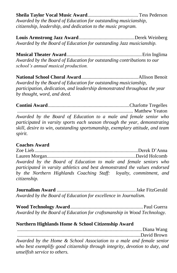**Sheila Taylor Vocal Music Award**......................................... Tess Pederson *Awarded by the Board of Education for outstanding musicianship, citizenship, leadership, and dedication to the music program.*

**Louis Armstrong Jazz Award**.............................................Derek Weinberg *Awarded by the Board of Education for outstanding Jazz musicianship.*

**Musical Theater Award**.............................................................Erin Inglima *Awarded by the Board of Education for outstanding contributions to our school's annual musical production.*

**National School Choral Award**..............................................Allison Benoit *Awarded by the Board of Education for outstanding musicianship, participation, dedication, and leadership demonstrated throughout the year by thought, word, and deed.*

**Contini Award**..................................................................Charlotte Tregelles .............................................................................................. Matthew Yeaton

*Awarded by the Board of Education to a male and female senior who participated in varsity sports each season through the year, demonstrating skill, desire to win, outstanding sportsmanship, exemplary attitude, and team spirit.*

#### **Coaches Award**.

Zoe Lieb....................................................................................Derek D'Anna Lauren Morgan........................................................................David Holcomb *Awarded by the Board of Education to male and female seniors who participated in varsity athletics and best demonstrated the values endorsed by the Northern Highlands Coaching Staff: loyalty, commitment, and citizenship.*

**Journalism Award** ................................................................Jake FitzGerald *Awarded by the Board of Education for excellence in Journalism.*

**Wood Technology Award**...........................................................Paul Guerra *Awarded by the Board of Education for craftsmanship in Wood Technology.*

#### **Northern Highlands Home & School Citizenship Award**

..................................................................................................... Diana Wang ....................................................................................................David Brown

*Awarded by the Home & School Association to a male and female senior who best exemplify good citizenship through integrity, devotion to duty, and unselfish service to others.*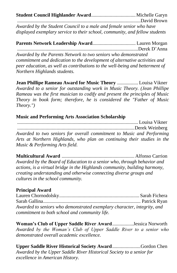**Student Council Highlander Award**....................................Michelle Garyn ....................................................................................................David Brown

*Awarded by the Student Council to a male and female senior who have displayed exemplary service to their school, community, and fellow students*

**Parents Network Leadership Award**................................... Lauren Morgan

..................................................................................................Derek D'Anna

*Awarded by the Parents Network to two seniors who demonstrated commitment and dedication to the development of alternative activities and peer education, as well as contributions to the well-being and betterment of Northern Highlands students.*

**Jean Phillipe Rameau Award for Music Theory** ................. Louisa Vikner *Awarded to a senior for outstanding work in Music Theory. (Jean Phillipe Rameau was the first musician to codify and present the principles of Music Theory in book form; therefore, he is considered the "Father of Music Theory.")*

#### **Music and Performing Arts Association Scholarship**

.................................................................................................. Louisa Vikner ...............................................................................................Derek Weinberg *Awarded to two seniors for overall commitment to Music and Performing Arts at Northern Highlands, who plan on continuing their studies in the Music & Performing Arts field.*

**Multicultural Award** ........................................................... Alfonso Carrion *Awarded by the Board of Education to a senior who, through behavior and actions, is a virtual bridge in the Highlands community, building harmony, creating understanding and otherwise connecting diverse groups and cultures in the school community.*

#### **Principal Award...**

Lauren Chornodolsky................................................................. Sarah Fichera Sarah Gallina............................................................................... Patrick Ryan *Awarded to seniors who demonstrated exemplary character, integrity, and commitment to both school and community life.*

**Woman's Club of Upper Saddle River Award**.................Jessica Norworth *Awarded by the Woman's Club of Upper Saddle River to a senior who demonstrated overall academic excellence.*

**Upper Saddle River Historical Society Award**.......................Gordon Chen *Awarded by the Upper Saddle River Historical Society to a senior for excellence in American History.*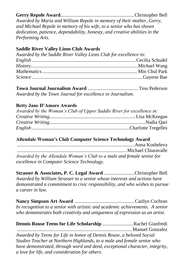#### **Gerry Repole Award**............................................................Christopher Bell

*Awarded by Maria and William Repole in memory of their mother, Gerry, and Michael Repole in memory of his wife, to a senior who has shown dedication, patience, dependability, honesty, and creative abilities in the Performing Arts.*

#### **Saddle River Valley Lions Club Awards**

| Awarded by the Saddle River Valley Lions Club for excellence in: |  |
|------------------------------------------------------------------|--|
|                                                                  |  |
|                                                                  |  |
|                                                                  |  |
|                                                                  |  |

**Town Journal Journalism Award** ......................................... Tess Pederson *Awarded by the Town Journal for excellence in Journalism.*

#### **Betty Jane D'Amore Awards**

| Awarded by the Woman's Club of Upper Saddle River for excellence in: |  |
|----------------------------------------------------------------------|--|
|                                                                      |  |
|                                                                      |  |
|                                                                      |  |

#### **Allendale Woman's Club Computer Science Technology Award**

...............................................................................................Anna Kosheleva *.........................................................................................*Michael Chiaravalle *Awarded by the Allendale Woman's Club to a male and female senior for excellence in Computer Science Technology.*

**Strasser & Associates, P. C. Legal Award** .........................Christopher Bell *Awarded by William Strasser to a senior whose interests and actions have demonstrated a commitment to civic responsibility, and who wishes to pursue a career in law.*

**Nancy Simpson Art Award** ................................................Caitlyn Cochran *In recognition to a senior with artistic and academic achievements. A senior who demonstrates both creativity and uniqueness of expression as an artist.*

| <b>Dennis Rouse Teens for Life Scholarship Rachel Gianfredi</b>             |  |
|-----------------------------------------------------------------------------|--|
|                                                                             |  |
| Awarded by Teens for Life in honor of Dennis Rouse, a beloved Social        |  |
| Studies Teacher at Northern Highlands, to a male and female senior who      |  |
| have demonstrated, through word and deed, exceptional character, integrity, |  |
| a love for life, and consideration for others.                              |  |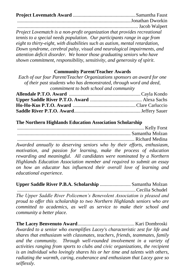**Project Lovematch Award** ...................................................Samantha Faust ............................................................................................Jonathan Dworkin

..................................................................................................Jacob Walpert *Project Lovematch is a non-profit organization that provides recreational tennis to a special needs population. Our participants range in age from eight to thirty-eight, with disabilities such as autism, mental retardation, Down syndrome, cerebral palsy, visual and neurological impairments, and attention deficit disorder. We honor those graduating seniors who have shown commitment, responsibility, sensitivity, and generosity of spirit.*

#### **Community Parent/Teacher Awards**

*Each of our four Parent/Teacher Organizations sponsors an award for one of their past students who has demonstrated, through word and deed, commitment to both school and community*

#### **The Northern Highlands Education Association Scholarship**

....................................................................................................... Kelly Forst ............................................................................................ Samantha Molzan ............................................................................................... Richard Medina *Awarded annually to deserving seniors who by their efforts, enthusiasm, motivation, and passion for learning, make the process of education rewarding and meaningful. All candidates were nominated by a Northern Highlands Education Association member and required to submit an essay on how an educator has influenced their overall love of learning and educational experience.*

**Upper Saddle River P.B.A. Scholarship** ......................... Samantha Molzan ................................................................................................Cecilia Schudel *The Upper Saddle River Policemen's Benevolent Association is pleased and proud to offer this scholarship to two Northern Highlands seniors who are committed to academics, as well as service to make their school and community a better place.*

**The Lacey Benvenuto Award**.............................................. Kari Dombroski *Awarded to a senior who exemplifies Lacey's characteristic zest for life and shares that enthusiasm with classmates, teachers, friends, teammates, family and the community. Through well-rounded involvement in a variety of activities ranging from sports to clubs and civic organizations, the recipient is an individual who lovingly shares his or her time and talents with others, radiating the warmth, caring, exuberance and enthusiasm that Lacey gave so selflessly.*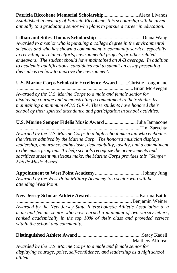**Patricia Riccobene Memorial Scholarship**............................Alexa Livanos *Established in memory of Patricia Riccobene, this scholarship will be given annually to a graduating senior who plans to pursue a career in education.*

**Lillian and Stiles Thomas Scholarship**..................................... Diana Wang *Awarded to a senior who is pursuing a college degree in the environmental sciences and who has shown a commitment to community service, especially in recycling or related efforts, environmental projects, or other related endeavors. The student should have maintained an A-B average. In addition to academic qualifications, candidates had to submit an essay presenting their ideas on how to improve the environment.*

**U.S. Marine Corps Scholastic Excellence Award**.........Christie Loughnane ..............................................................................................Brian McKeegan *Awarded by the U.S. Marine Corps to a male and female senior for displaying courage and demonstrating a commitment to their studies by maintaining a minimum of 3.5 G.P.A. These students have honored their school by their spirited attendance and participation in school activities.* 

**U.S. Marine Semper Fidelis Music Award** .........................Julia Iannacone ................................................................................................... Tim Zarychta *Awarded by the U.S. Marine Corps to a high school musician who embodies the virtues admired by the Marine Corp. The honored musician displays leadership, endurance, enthusiasm, dependability, loyalty, and a commitment to the music program. To help schools recognize the achievements and sacrifices student musicians make, the Marine Corps provides this "Semper Fidelis Music Award."* 

**Appointment to West Point Academy**......................................Johnny Jung *Awarded by the West Point Military Academy to a senior who will be attending West Point.*

**New Jersey Scholar Athlete Award**........................................Katrina Battle .............................................................................................Benjamin Weiner *Awarded by the New Jersey State Interscholastic Athletic Association to a male and female senior who have earned a minimum of two varsity letters, ranked academically in the top 10% of their class and provided service within the school and community.*

**Distinguished Athlete Award** ....................................................Stacy Kadell ............................................................................................. Matthew Alfonso *Awarded by the U.S. Marine Corps to a male and female senior for* 

*displaying courage, poise, self-confidence, and leadership as a high school athlete.*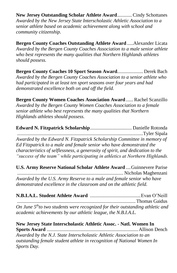**New Jersey Outstanding Scholar Athlete Award**............Cindy Schottanes *Awarded by the New Jersey State Interscholastic Athletic Association to a senior athlete based on academic achievement along with school and community citizenship.*

**Bergen County Coaches Outstanding Athlete Award** .....Alexander Licata *Awarded by the Bergen County Coaches Association to a male senior athlete who best represents the many qualities that Northern Highlands athletes should possess.*

**Bergen County Coaches 10 Sport Season Award**..................... Derek Bach *Awarded by the Bergen County Coaches Association to a senior athlete who had participated in at least ten sport seasons over four years and had demonstrated excellence both on and off the field.*

**Bergen County Women Coaches Association Award**...... Rachel Scanzillo *Awarded by the Bergen County Women Coaches Association to a female senior athlete who best represents the many qualities that Northern Highlands athletes should possess.*

**Edward N. Fitzpatrick Scholarship**.................................. Danielle Rotonda ......................................................................................................Tyler Sipala *Awarded by the Edward N. Fitzpatrick Scholarship Committee in memory of Ed Fitzpatrick to a male and female senior who have demonstrated the characteristics of selflessness, a generosity of spirit, and dedication to the "success of the team" while participating in athletics at Northern Highlands.*

**U.S. Army Reserve National Scholar Athlete Award** ....Guinnevere Parise ...................................................................................... Nicholas Maghenzani *Awarded by the U.S. Army Reserve to a male and female senior who have demonstrated excellence in the classroom and on the athletic field.* 

**N.B.I.A.L. Student Athlete Award** .........................................Evan O'Neill *................................................................................................*Thomas Gaidus *On June 5 thto two students were recognized for their outstanding athletic and academic achievements by our athletic league, the N.B.I.A.L.*

**New Jersey State Interscholastic Athletic Assoc. - Natl. Women In Sports Award** ..........................................................................Allison Dench *Awarded by the N.J. State Interscholastic Athletic Association to an outstanding female student athlete in recognition of National Women In Sports Day.*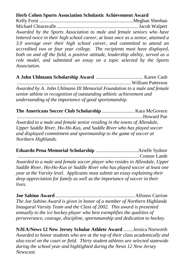#### **Herb Cohen Sports Association Scholastic Achievement Award**

Kelly Forst ............................................................................Meghan Sheehan Michael Chiaravalle ..................................................................Jacob Walpert *Awarded by the Sports Association to male and female seniors who have lettered twice in their high school career, at least once as a senior, attained a 3.0 average over their high school career, and committed to attend an accredited two or four year college. The recipients must have displayed, both on and off the field, a positive attitude, leadership ability, served as a role model, and submitted an essay on a topic selected by the Sports Association.*

**A John Uhlmann Scholarship Award** ...................................... Karen Cash ............................................................................................ William Patterson *Awarded by A. John Uhlmann III Memorial Foundation to a male and female senior athlete in recognition of outstanding athletic achievement and understanding of the importance of good sportsmanship.*

**The Americans Soccer Club Scholarship** .......................... Kara McGovern *......................................................................................................*Howard Pae *Awarded to a male and female senior residing in the towns of Allendale, Upper Saddle River, Ho-Ho-Kus, and Saddle River who has played soccer and displayed commitment and sportmanship to the game of soccer at Northern Highlands.*

**Eduardo Pena Memorial Scholarship** ..................................Arielle Sydnor ...................................................................................................Connor Lamb *Awarded to a male and female soccer player who resides in Allendale, Upper Saddle River, Ho-Ho-Kus or Saddle River who has played soccer at least one year at the Varsity level. Applicants must submit an essay explaining their deep appreciation for family as well as the importance of soccer in their lives.* 

**Joe Sabino Award** ................................................................ Alfonso Carrion *The Joe Sabino Award is given in honor of a member of Northern Highlands Inaugural Varsity Team and the Class of 2002. This award is presented annually to the ice hockey player who best exemplifies the qualities of perseverance, courage, discipline, sportsmanship and dedication to hockey.*

**NJEA/News 12 New Jersey Scholar Athlete Award** ........Jessica Norworth *Awarded to honor students who are at the top of their class academically and also excel on the court or field. Thirty student athletes are selected statewide during the school year and highlighted during the News 12 New Jersey Newscast.*